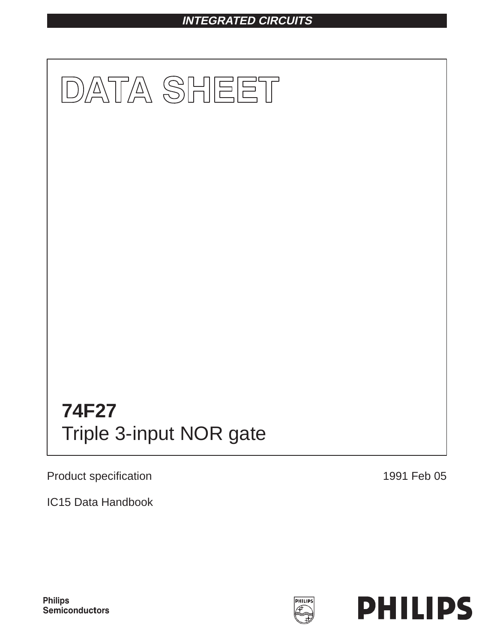# **INTEGRATED CIRCUITS**



Product specification

1991 Feb 05

IC15 Data Handbook



PHILIPS

**Philips** Semiconductors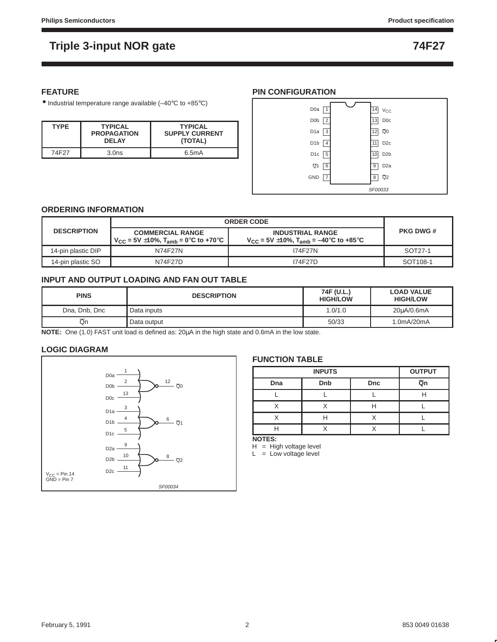### **FEATURE**

• Industrial temperature range available (–40°C to +85°C)

| <b>TYPE</b>       | <b>TYPICAL</b><br><b>PROPAGATION</b><br><b>DEI AY</b> | <b>TYPICAL</b><br><b>SUPPLY CURRENT</b><br>(TOTAL) |
|-------------------|-------------------------------------------------------|----------------------------------------------------|
| 74F <sub>27</sub> | 3.0 <sub>ns</sub>                                     | 6.5mA                                              |

#### **PIN CONFIGURATION**



#### **ORDERING INFORMATION**

|                    | <b>ORDER CODE</b>                                                                     |                                                                                              |                      |
|--------------------|---------------------------------------------------------------------------------------|----------------------------------------------------------------------------------------------|----------------------|
| <b>DESCRIPTION</b> | <b>COMMERCIAL RANGE</b><br>$V_{\text{CC}}$ = 5V ±10%, T <sub>amb</sub> = 0°C to +70°C | <b>INDUSTRIAL RANGE</b><br>$V_{\text{CC}}$ = 5V $\pm$ 10%, T <sub>amb</sub> = –40°C to +85°C | <b>PKG DWG #</b>     |
| 14-pin plastic DIP | N74F27N                                                                               | <b>I74F27N</b>                                                                               | SOT27-1              |
| 14-pin plastic SO  | N74F27D                                                                               | 174F27D                                                                                      | SOT <sub>108-1</sub> |

#### **INPUT AND OUTPUT LOADING AND FAN OUT TABLE**

| <b>PINS</b>   | <b>DESCRIPTION</b> | 74F (U.L.)<br><b>HIGH/LOW</b> | <b>LOAD VALUE</b><br><b>HIGH/LOW</b> |
|---------------|--------------------|-------------------------------|--------------------------------------|
| Dna, Dnb, Dnc | Data inputs        | 1.0/1.0                       | 20uA/0.6mA                           |
| Qn            | Data output        | 50/33                         | 1.0mA/20mA                           |

**NOTE:** One (1.0) FAST unit load is defined as: 20µA in the high state and 0.6mA in the low state.

#### **LOGIC DIAGRAM**



#### **FUNCTION TABLE**

|     | <b>OUTPUT</b> |            |    |
|-----|---------------|------------|----|
| Dna | Dnb           | <b>Dnc</b> | Qn |
|     |               |            |    |
|     |               |            |    |
|     |               |            |    |
|     |               |            |    |

**NOTES:**

 $H = High voltage level$ 

 $L = Low voltage level$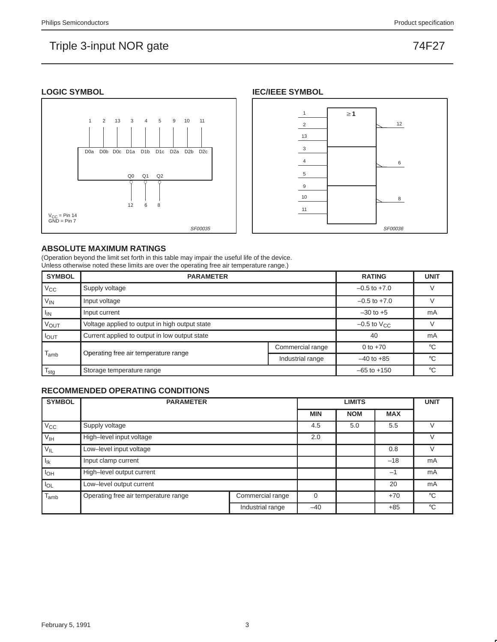#### **LOGIC SYMBOL**





#### **ABSOLUTE MAXIMUM RATINGS**

(Operation beyond the limit set forth in this table may impair the useful life of the device. Unless otherwise noted these limits are over the operating free air temperature range.)

| <b>SYMBOL</b>    | <b>PARAMETER</b>                               |                    |                  |    |  |  |  |  |
|------------------|------------------------------------------------|--------------------|------------------|----|--|--|--|--|
| $V_{CC}$         | Supply voltage                                 |                    | $-0.5$ to $+7.0$ |    |  |  |  |  |
| $V_{IN}$         | Input voltage                                  |                    | $-0.5$ to $+7.0$ |    |  |  |  |  |
| $I_{IN}$         | Input current                                  | $-30$ to $+5$      | mA               |    |  |  |  |  |
| <b>VOUT</b>      | Voltage applied to output in high output state | $-0.5$ to $V_{CC}$ |                  |    |  |  |  |  |
| $I_{OUT}$        | Current applied to output in low output state  |                    | 40               | mA |  |  |  |  |
|                  |                                                | Commercial range   | 0 to $+70$       | °C |  |  |  |  |
| l <sub>amb</sub> | Operating free air temperature range           | $-40$ to $+85$     | $^{\circ}C$      |    |  |  |  |  |
| $T_{\text{stg}}$ | Storage temperature range                      | $-65$ to $+150$    | °C               |    |  |  |  |  |

#### **RECOMMENDED OPERATING CONDITIONS**

| <b>SYMBOL</b>   | <b>PARAMETER</b>                     |                  | <b>UNIT</b> |            |            |             |
|-----------------|--------------------------------------|------------------|-------------|------------|------------|-------------|
|                 |                                      |                  | <b>MIN</b>  | <b>NOM</b> | <b>MAX</b> |             |
| $V_{\rm CC}$    | Supply voltage                       |                  | 4.5         | 5.0        | 5.5        |             |
| V <sub>IH</sub> | High-level input voltage             | 2.0              |             |            |            |             |
| $V_{IL}$        | Low-level input voltage              |                  |             | 0.8        |            |             |
| $I_{lk}$        | Input clamp current                  |                  |             |            | $-18$      | mA          |
| $I_{OH}$        | High-level output current            |                  |             |            | $-1$       | mA          |
| $I_{OL}$        | Low-level output current             |                  |             | 20         | mA         |             |
| $I_{amb}$       | Operating free air temperature range | Commercial range | $\Omega$    |            | $+70$      | $^{\circ}C$ |
|                 |                                      | Industrial range | $-40$       |            | $+85$      | $^{\circ}C$ |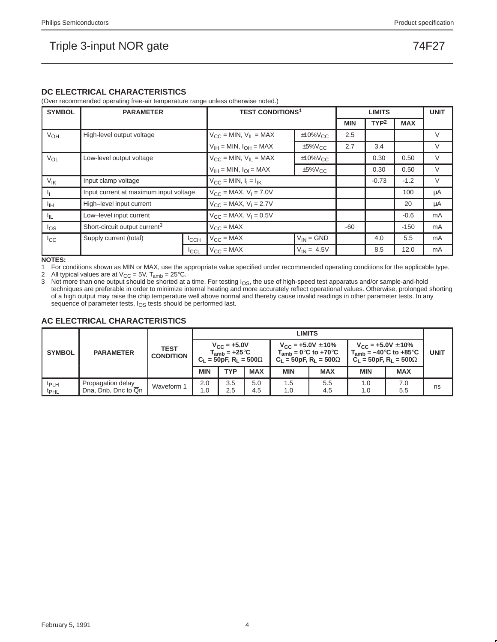#### **DC ELECTRICAL CHARACTERISTICS**

(Over recommended operating free-air temperature range unless otherwise noted.)

| <b>SYMBOL</b>         | <b>PARAMETER</b>                          |             | <b>TEST CONDITIONS<sup>1</sup></b>                |                 |            | <b>LIMITS</b>    |            | <b>UNIT</b> |
|-----------------------|-------------------------------------------|-------------|---------------------------------------------------|-----------------|------------|------------------|------------|-------------|
|                       |                                           |             |                                                   |                 | <b>MIN</b> | TYP <sup>2</sup> | <b>MAX</b> |             |
| VOH                   | High-level output voltage                 |             | $V_{CC}$ = MIN, $V_{IL}$ = MAX                    | $±10\%V_{C}c$   | 2.5        |                  |            | $\vee$      |
|                       |                                           |             | $V_{IH}$ = MIN, $I_{OH}$ = MAX                    | $±5\%V_{CC}$    | 2.7        | 3.4              |            | V           |
| <b>V<sub>OL</sub></b> | Low-level output voltage                  |             | $V_{CC}$ = MIN, $V_{IL}$ = MAX                    | $±10\%V_{CC}$   |            | 0.30             | 0.50       | $\vee$      |
|                       |                                           |             | $V_{IH}$ = MIN, $I_{OI}$ = MAX                    | $±5\%V_{C}$     |            | 0.30             | 0.50       | $\vee$      |
| V <sub>IK</sub>       | Input clamp voltage                       |             | $V_{CC} = MIN, I_1 = I_{IK}$                      |                 | $-0.73$    | $-1.2$           | V          |             |
|                       | Input current at maximum input voltage    |             | $V_{CC}$ = MAX, $V_1$ = 7.0V                      |                 |            | 100              | μA         |             |
| ЧH                    | High-level input current                  |             | $V_{CC}$ = MAX, $V_1$ = 2.7V                      |                 |            | 20               | μA         |             |
| ЧL.                   | Low-level input current                   |             | $V_{\text{CC}} = \text{MAX}, V_{\text{I}} = 0.5V$ |                 |            |                  | $-0.6$     | mA          |
| los                   | Short-circuit output current <sup>3</sup> |             | $V_{\text{CC}} = \text{MAX}$                      |                 | $-60$      |                  | $-150$     | mA          |
| $_{\rm{lcc}}$         | Supply current (total)<br>ICCH            |             | $V_{CC}$ = MAX                                    | $V_{IN} = GND$  |            | 4.0              | 5.5        | mA          |
|                       |                                           | <b>ICCL</b> | $V_{CC} = MAX$                                    | $V_{IN} = 4.5V$ |            | 8.5              | 12.0       | mA          |

**NOTES:**

1 For conditions shown as MIN or MAX, use the appropriate value specified under recommended operating conditions for the applicable type.

2 All typical values are at  $V_{CC} = 5V$ ,  $T_{amb} = 25^{\circ}C$ .<br>3 Not more than one output should be shorted at a Not more than one output should be shorted at a time. For testing  $I_{OS}$ , the use of high-speed test apparatus and/or sample-and-hold techniques are preferable in order to minimize internal heating and more accurately reflect operational values. Otherwise, prolonged shorting of a high output may raise the chip temperature well above normal and thereby cause invalid readings in other parameter tests. In any sequence of parameter tests,  $I_{OS}$  tests should be performed last.

#### **AC ELECTRICAL CHARACTERISTICS**

|                                      |                                          |                                 |                                                                            |            |                                                                                         | <b>LIMITS</b> |                                                                                                                     |            |             |    |
|--------------------------------------|------------------------------------------|---------------------------------|----------------------------------------------------------------------------|------------|-----------------------------------------------------------------------------------------|---------------|---------------------------------------------------------------------------------------------------------------------|------------|-------------|----|
| <b>SYMBOL</b>                        | <b>PARAMETER</b>                         | <b>TEST</b><br><b>CONDITION</b> | $V_{\rm CC} = +5.0V$<br>$T_{amb}$ = +25°C<br>$C_1 = 50pF, R_1 = 500\Omega$ |            | $V_{CC}$ = +5.0V $\pm$ 10%<br>$T_{amb}$ = 0°C to +70°C<br>$C_1 = 50pF, R_1 = 500\Omega$ |               | $V_{\text{CC}}$ = +5.0V $\pm$ 10%<br>$T_{amb} = -40^{\circ}$ C to +85 $^{\circ}$ C<br>$C_1 = 50pF, R_1 = 500\Omega$ |            | <b>UNIT</b> |    |
|                                      |                                          |                                 | <b>MIN</b>                                                                 | <b>TYP</b> | <b>MAX</b>                                                                              | <b>MIN</b>    | <b>MAX</b>                                                                                                          | <b>MIN</b> | <b>MAX</b>  |    |
| <sup>t</sup> PLH<br>t <sub>PHL</sub> | Propagation delay<br>Dna, Dnb, Dnc to Qn | Waveform 1                      | 2.0<br>1.0                                                                 | 3.5<br>2.5 | 5.0<br>4.5                                                                              | 1.5<br>1.0    | 5.5<br>4.5                                                                                                          | 1.0<br>1.0 | 7.0<br>5.5  | ns |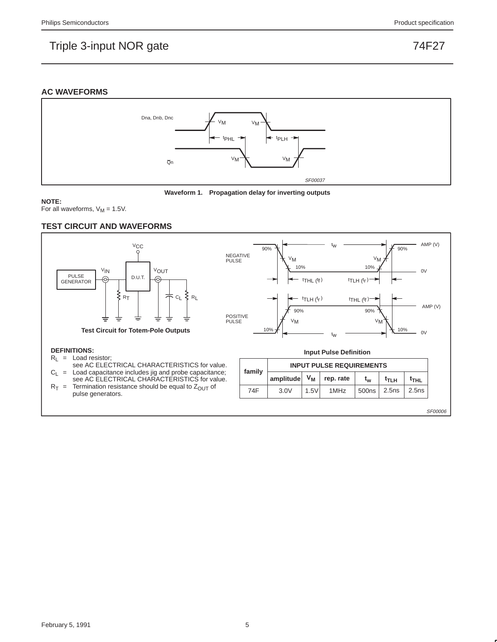#### **AC WAVEFORMS**





#### **NOTE:**

For all waveforms,  $V_M = 1.5V$ .

#### **TEST CIRCUIT AND WAVEFORMS**



SF00006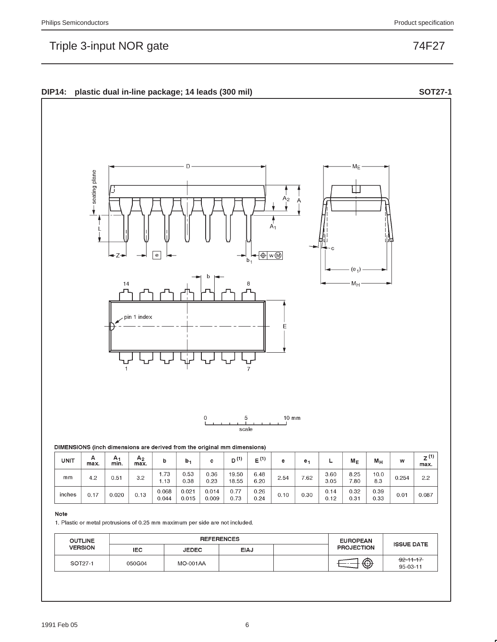



| <b>UNIT</b> | А<br>max. | А٠<br>min. | A <sub>2</sub><br>max. |                | b.             | с              | $\mathbf{A}$<br>D <sup>U</sup> | E <sup>(1)</sup> | е    | е,   | -            | $M_{E}$      | $M_H$        | w     | z <sup>(1)</sup><br>max. |
|-------------|-----------|------------|------------------------|----------------|----------------|----------------|--------------------------------|------------------|------|------|--------------|--------------|--------------|-------|--------------------------|
| mm          | 4.2       | 0.51       | 3.2                    | 1.73<br>1.13   | 0.53<br>0.38   | 0.36<br>0.23   | 19.50<br>18.55                 | 6.48<br>6.20     | 2.54 | 7.62 | 3.60<br>3.05 | 8.25<br>7.80 | 10.0<br>8.3  | 0.254 | 2.2                      |
| inches      | 0.17      | 0.020      | 0.13                   | 0.068<br>0.044 | 0.021<br>0.015 | 0.014<br>0.009 | 0.77<br>0.73                   | 0.26<br>0.24     | 0.10 | 0.30 | 0.14<br>0.12 | 0.32<br>0.31 | 0.39<br>0.33 | 0.01  | 0.087                    |

#### Note

1. Plastic or metal protrusions of 0.25 mm maximum per side are not included.

| <b>OUTLINE</b> |        |                 | <b>REFERENCES</b> | <b>EUROPEAN</b>   | <b>ISSUE DATE</b>                 |
|----------------|--------|-----------------|-------------------|-------------------|-----------------------------------|
| <b>VERSION</b> | IEC.   | <b>JEDEC</b>    | <b>EIAJ</b>       | <b>PROJECTION</b> |                                   |
| SOT27-1        | 050G04 | <b>MO-001AA</b> |                   | ⊕                 | $-92 - 11 - 17$<br>$95 - 03 - 11$ |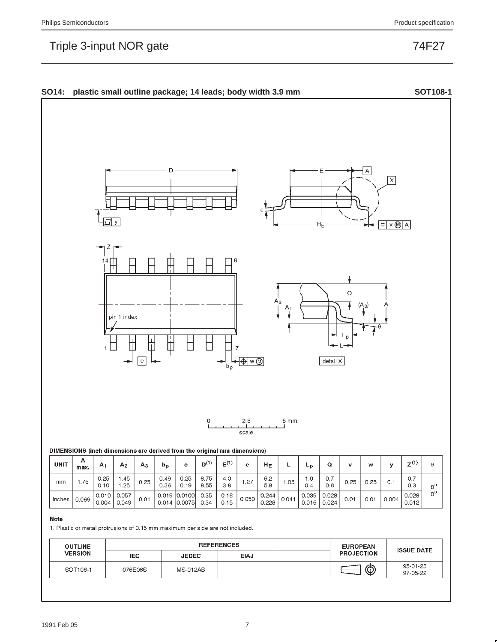